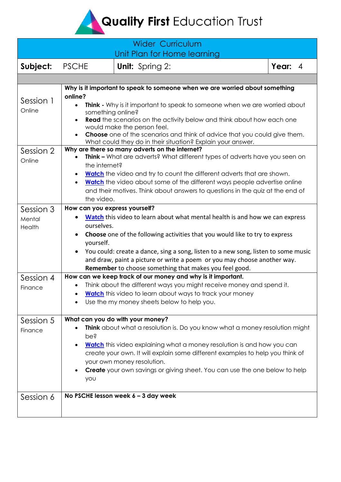Quality First Education Trust

|                               |                                                                                                                                                                                                                                                                                                                                                                                                                                                           | <b>Wider Curriculum</b><br>Unit Plan for Home learning                                                                                                                                                                                                                                                                                                                                        |  |         |  |  |
|-------------------------------|-----------------------------------------------------------------------------------------------------------------------------------------------------------------------------------------------------------------------------------------------------------------------------------------------------------------------------------------------------------------------------------------------------------------------------------------------------------|-----------------------------------------------------------------------------------------------------------------------------------------------------------------------------------------------------------------------------------------------------------------------------------------------------------------------------------------------------------------------------------------------|--|---------|--|--|
| Subject:                      | <b>PSCHE</b>                                                                                                                                                                                                                                                                                                                                                                                                                                              | <b>Unit:</b> Spring 2:                                                                                                                                                                                                                                                                                                                                                                        |  | Year: 4 |  |  |
|                               |                                                                                                                                                                                                                                                                                                                                                                                                                                                           |                                                                                                                                                                                                                                                                                                                                                                                               |  |         |  |  |
| Session 1<br>Online           | Why is it important to speak to someone when we are worried about something<br>online?<br>Think - Why is it important to speak to someone when we are worried about<br>$\bullet$<br>something online?<br>Read the scenarios on the activity below and think about how each one<br>would make the person feel.<br>Choose one of the scenarios and think of advice that you could give them.<br>What could they do in their situation? Explain your answer. |                                                                                                                                                                                                                                                                                                                                                                                               |  |         |  |  |
| Session 2<br>Online           | Why are there so many adverts on the internet?<br>Think - What are adverts? What different types of adverts have you seen on<br>the internet?<br><b>Watch</b> the video and try to count the different adverts that are shown.<br><b>Watch</b> the video about some of the different ways people advertise online<br>$\bullet$<br>and their motives. Think about answers to questions in the quiz at the end of<br>the video.                             |                                                                                                                                                                                                                                                                                                                                                                                               |  |         |  |  |
| Session 3<br>Mental<br>Health | How can you express yourself?<br>ourselves.<br>yourself.<br>$\bullet$                                                                                                                                                                                                                                                                                                                                                                                     | Watch this video to learn about what mental health is and how we can express<br>Choose one of the following activities that you would like to try to express<br>You could: create a dance, sing a song, listen to a new song, listen to some music<br>and draw, paint a picture or write a poem or you may choose another way.<br>Remember to choose something that makes you feel good.      |  |         |  |  |
| Session 4<br>Finance          |                                                                                                                                                                                                                                                                                                                                                                                                                                                           | How can we keep track of our money and why is it important.<br>Think about the different ways you might receive money and spend it.<br>Watch this video to learn about ways to track your money<br>Use the my money sheets below to help you.                                                                                                                                                 |  |         |  |  |
| Session 5<br>Finance          | pe?<br>$\bullet$<br>you                                                                                                                                                                                                                                                                                                                                                                                                                                   | What can you do with your money?<br>Think about what a resolution is. Do you know what a money resolution might<br>Watch this video explaining what a money resolution is and how you can<br>create your own. It will explain some different examples to help you think of<br>your own money resolution.<br><b>Create</b> your own savings or giving sheet. You can use the one below to help |  |         |  |  |
| Session 6                     |                                                                                                                                                                                                                                                                                                                                                                                                                                                           | No PSCHE lesson week $6 - 3$ day week                                                                                                                                                                                                                                                                                                                                                         |  |         |  |  |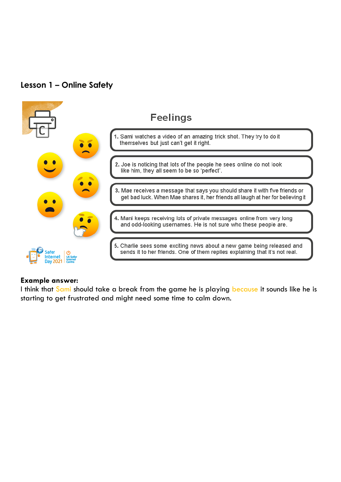## **Lesson 1 – Online Safety**



## **Example answer:**

I think that Sami should take a break from the game he is playing because it sounds like he is starting to get frustrated and might need some time to calm down.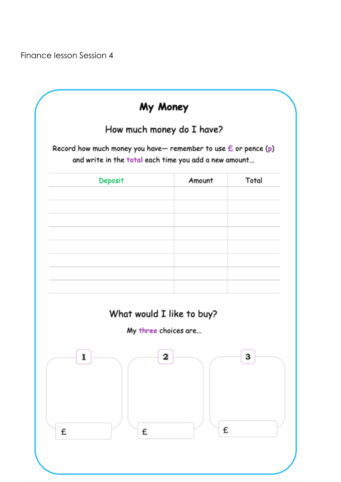Finance lesson Session 4

|                                                                                                                           | My Money                  |       |
|---------------------------------------------------------------------------------------------------------------------------|---------------------------|-------|
|                                                                                                                           | How much money do I have? |       |
| Record how much money you have— remember to use $f$ or pence (p)<br>and write in the total each time you add a new amount |                           |       |
| Deposit                                                                                                                   | Amount                    | Total |
|                                                                                                                           |                           |       |
|                                                                                                                           |                           |       |
|                                                                                                                           |                           |       |
|                                                                                                                           |                           |       |
|                                                                                                                           | What would I like to buy? |       |
|                                                                                                                           | My three choices are      |       |
| 1                                                                                                                         | 2                         | З     |
| £<br>£                                                                                                                    |                           | £     |
|                                                                                                                           |                           |       |